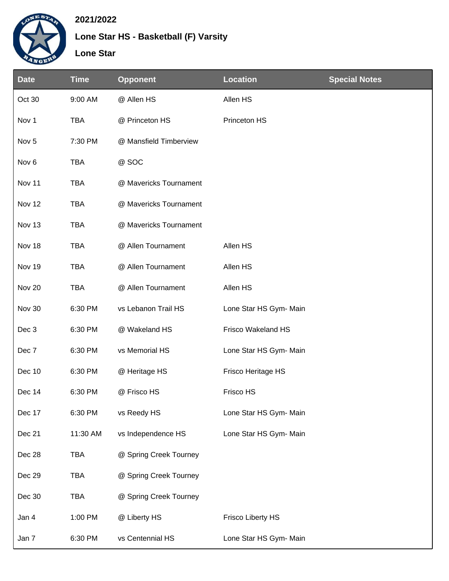

## **2021/2022**

**Lone Star HS - Basketball (F) Varsity**

**Lone Star**

| <b>Date</b>      | <b>Time</b> | <b>Opponent</b>        | <b>Location</b>          | <b>Special Notes</b> |
|------------------|-------------|------------------------|--------------------------|----------------------|
| Oct 30           | 9:00 AM     | @ Allen HS             | Allen HS                 |                      |
| Nov 1            | <b>TBA</b>  | @ Princeton HS         | Princeton HS             |                      |
| Nov <sub>5</sub> | 7:30 PM     | @ Mansfield Timberview |                          |                      |
| Nov <sub>6</sub> | <b>TBA</b>  | @ SOC                  |                          |                      |
| Nov 11           | <b>TBA</b>  | @ Mavericks Tournament |                          |                      |
| Nov 12           | <b>TBA</b>  | @ Mavericks Tournament |                          |                      |
| Nov 13           | <b>TBA</b>  | @ Mavericks Tournament |                          |                      |
| Nov 18           | <b>TBA</b>  | @ Allen Tournament     | Allen HS                 |                      |
| Nov 19           | <b>TBA</b>  | @ Allen Tournament     | Allen HS                 |                      |
| Nov 20           | <b>TBA</b>  | @ Allen Tournament     | Allen HS                 |                      |
| Nov 30           | 6:30 PM     | vs Lebanon Trail HS    | Lone Star HS Gym- Main   |                      |
| Dec 3            | 6:30 PM     | @ Wakeland HS          | Frisco Wakeland HS       |                      |
| Dec 7            | 6:30 PM     | vs Memorial HS         | Lone Star HS Gym- Main   |                      |
| Dec 10           | 6:30 PM     | @ Heritage HS          | Frisco Heritage HS       |                      |
| Dec 14           | 6:30 PM     | @ Frisco HS            | Frisco HS                |                      |
| Dec 17           | 6:30 PM     | vs Reedy HS            | Lone Star HS Gym- Main   |                      |
| Dec 21           | 11:30 AM    | vs Independence HS     | Lone Star HS Gym- Main   |                      |
| Dec 28           | <b>TBA</b>  | @ Spring Creek Tourney |                          |                      |
| Dec 29           | <b>TBA</b>  | @ Spring Creek Tourney |                          |                      |
| Dec 30           | <b>TBA</b>  | @ Spring Creek Tourney |                          |                      |
| Jan 4            | 1:00 PM     | @ Liberty HS           | <b>Frisco Liberty HS</b> |                      |
| Jan 7            | 6:30 PM     | vs Centennial HS       | Lone Star HS Gym- Main   |                      |